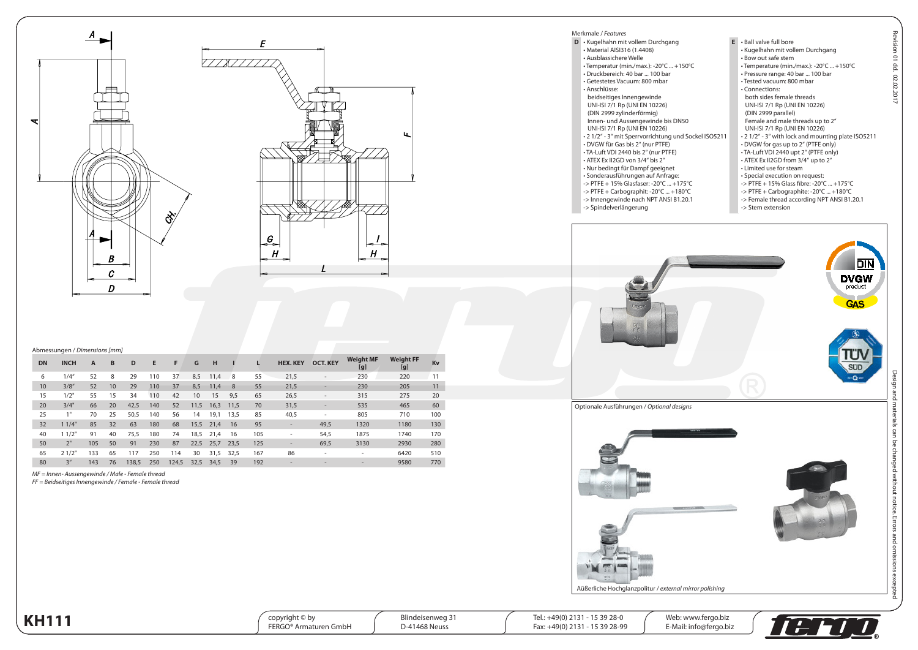



## Abmessungen / *Dimensions [mm]*

| <b>DN</b> | <b>INCH</b>     | A   | B  | D     | Е   | F     | G    | н    |      |     | <b>HEX. KEY</b>          | <b>OCT. KEY</b>          | <b>Weight MF</b><br>[g]  | <b>Weight FF</b><br>[g] | Kv  |
|-----------|-----------------|-----|----|-------|-----|-------|------|------|------|-----|--------------------------|--------------------------|--------------------------|-------------------------|-----|
| 6         | 1/4''           | 52  | 8  | 29    | 110 | 37    | 8,5  | 11,4 | 8    | 55  | 21,5                     | ٠                        | 230                      | 220                     | 11  |
| 10        | 3/8''           | 52  | 10 | 29    | 110 | 37    | 8,5  | 11,4 | 8    | 55  | 21,5                     |                          | 230                      | 205                     | 11  |
| 15        | 1/2"            | 55  | 15 | 34    | 110 | 42    | 10   | 15   | 9.5  | 65  | 26,5                     | $\overline{\phantom{a}}$ | 315                      | 275                     | 20  |
| 20        | 3/4"            | 66  | 20 | 42,5  | 140 | 52    | 11,5 | 16,3 | 11.5 | 70  | 31,5                     | ٠                        | 535                      | 465                     | 60  |
| 25        | 1"              | 70  | 25 | 50,5  | 140 | 56    | 14   | 19,1 | 13.5 | 85  | 40,5                     | ٠                        | 805                      | 710                     | 100 |
| 32        | 11/4"           | 85  | 32 | 63    | 180 | 68    | 15,5 | 21.4 | 16   | 95  | $\overline{\phantom{a}}$ | 49,5                     | 1320                     | 1180                    | 130 |
| 40        | 11/2"           | 91  | 40 | 75,5  | 180 | 74    | 18,5 | 21.4 | 16   | 105 |                          | 54,5                     | 1875                     | 1740                    | 170 |
| 50        | 2"              | 105 | 50 | 91    | 230 | 87    | 22,5 | 25,7 | 23.5 | 125 | $\overline{\phantom{a}}$ | 69,5                     | 3130                     | 2930                    | 280 |
| 65        | 21/2"           | 133 | 65 | 117   | 250 | 114   | 30   | 31,5 | 32.5 | 167 | 86                       | ٠                        | ۰                        | 6420                    | 510 |
| 80        | 3 <sup>''</sup> | 143 | 76 | 138.5 | 250 | 124.5 | 32,5 | 34.5 | 39   | 192 |                          |                          | $\overline{\phantom{a}}$ | 9580                    | 770 |

*MF = Innen- Aussengewinde / Male - Female thread*

*FF = Beidseitiges Innengewinde / Female - Female thread*

Merkmale / *Features* **D** • Kugelhahn mit vollem Durchgang • Material AISI316 (1.4408) • Ausblassichere Welle • Temperatur (min./max.): -20°C ... +150°C • Druckbereich: 40 bar ... 100 bar • Getestetes Vacuum: 800 mbar • Anschlüsse: beidseitiges Innengewinde UNI-ISI 7/1 Rp (UNI EN 10226) (DIN 2999 zylinderförmig) Innen- und Aussengewinde bis DN50 UNI-ISI 7/1 Rp (UNI EN 10226) • 2 1/2" - 3" mit Sperrvorrichtung und Sockel ISO5211 • DVGW für Gas bis 2" (nur PTFE) • TA-Luft VDI 2440 bis 2" (nur PTFE) • ATEX Ex II2GD von 3/4" bis 2" • Nur bedingt für Dampf geeignet

• Sonderausführungen auf Anfrage: -> PTFE + 15% Glasfaser: -20°C ... +175°C -> PTFE + Carbographit: -20°C ... +180°C -> Innengewinde nach NPT ANSI B1.20.1

-> Spindelverlängerung

**E** • Ball valve full bore • Kugelhahn mit vollem Durchgang • Bow out safe stem • Temperature (min./max.): -20°C ... +150°C • Pressure range: 40 bar ... 100 bar • Tested vacuum: 800 mbar • Connections: both sides female threads UNI-ISI 7/1 Rp (UNI EN 10226) (DIN 2999 parallel) Female and male threads up to 2" UNI-ISI 7/1 Rp (UNI EN 10226) • 2 1/2" - 3" with lock and mounting plate ISO5211 • DVGW for gas up to 2" (PTFE only) • TA-Luft VDI 2440 upt 2" (PTFE only) • ATEX Ex II2GD from 3/4" up to 2" • Limited use for steam • Special execution on request: -> PTFE + 15% Glass fibre: -20°C ... +175°C -> PTFE + Carbographite: -20°C ... +180°C -> Female thread according NPT ANSI B1.20.1 -> Stem extension



Optionale Ausführungen / *Optional designs*



sion 01 dd. 02.02.2017